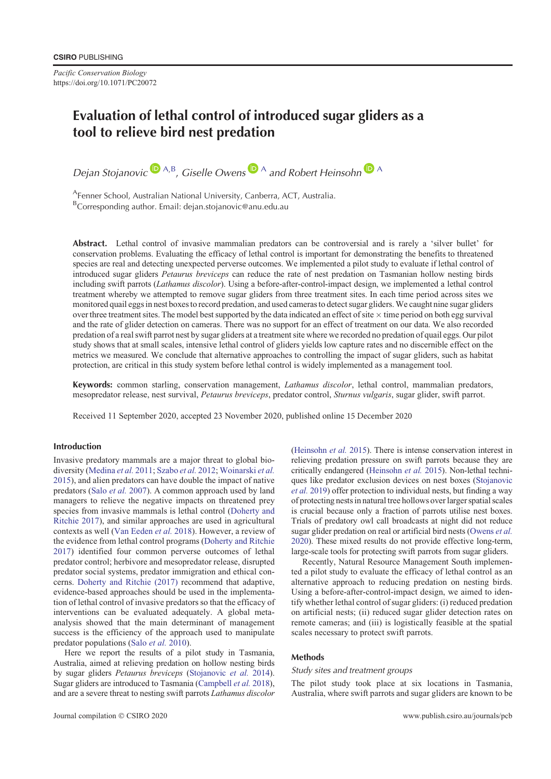*Pacific Conservation Biology* https://doi.org/10.1071/PC20072

# **Evaluation of lethal control of introduced sugar gliders as a tool to relieve bird nest predation**

*Dejan Stojanovic*  $\mathbf{D}^{A,B}$  $\mathbf{D}^{A,B}$  $\mathbf{D}^{A,B}$ , *Giselle Owens*  $\mathbf{D}^{A}$  *and Robert Heinsohn*  $\mathbf{D}^{A}$ 

AFenner School, Australian National University, Canberra, ACT, Australia. <sup>B</sup>Corresponding author. Email: dejan.stojanovic@anu.edu.au

**Abstract.** Lethal control of invasive mammalian predators can be controversial and is rarely a 'silver bullet' for conservation problems. Evaluating the efficacy of lethal control is important for demonstrating the benefits to threatened species are real and detecting unexpected perverse outcomes. We implemented a pilot study to evaluate if lethal control of introduced sugar gliders *Petaurus breviceps* can reduce the rate of nest predation on Tasmanian hollow nesting birds including swift parrots (*Lathamus discolor*). Using a before-after-control-impact design, we implemented a lethal control treatment whereby we attempted to remove sugar gliders from three treatment sites. In each time period across sites we monitored quail eggs in nest boxes to record predation, and used cameras to detect sugar gliders.We caught nine sugar gliders over three treatment sites. The model best supported by the data indicated an effect of site  $\times$  time period on both egg survival and the rate of glider detection on cameras. There was no support for an effect of treatment on our data. We also recorded predation of a real swift parrot nest by sugar gliders at a treatment site where we recorded no predation of quail eggs. Our pilot study shows that at small scales, intensive lethal control of gliders yields low capture rates and no discernible effect on the metrics we measured. We conclude that alternative approaches to controlling the impact of sugar gliders, such as habitat protection, are critical in this study system before lethal control is widely implemented as a management tool.

**Keywords:** common starling, conservation management, *Lathamus discolor*, lethal control, mammalian predators, mesopredator release, nest survival, *Petaurus breviceps*, predator control, *Sturnus vulgaris*, sugar glider, swift parrot.

Received 11 September 2020, accepted 23 November 2020, published online 15 December 2020

#### **Introduction**

Invasive predatory mammals are a major threat to global biodiversity ([Medina](#page-3-0) *et al.* 2011; [Szabo](#page-4-0) *et al.* 2012; [Woinarski](#page-4-0) *et al.* [2015\)](#page-4-0), and alien predators can have double the impact of native predators (Salo *et al.* [2007\)](#page-3-0). A common approach used by land managers to relieve the negative impacts on threatened prey species from invasive mammals is lethal control [\(Doherty and](#page-3-0) [Ritchie 2017](#page-3-0)), and similar approaches are used in agricultural contexts as well [\(Van Eeden](#page-4-0) *et al.* 2018). However, a review of the evidence from lethal control programs ([Doherty and Ritchie](#page-3-0) [2017\)](#page-3-0) identified four common perverse outcomes of lethal predator control; herbivore and mesopredator release, disrupted predator social systems, predator immigration and ethical concerns. [Doherty and Ritchie \(2017\)](#page-3-0) recommend that adaptive, evidence-based approaches should be used in the implementation of lethal control of invasive predators so that the efficacy of interventions can be evaluated adequately. A global metaanalysis showed that the main determinant of management success is the efficiency of the approach used to manipulate predator populations (Salo *et al.* [2010\)](#page-3-0).

Here we report the results of a pilot study in Tasmania, Australia, aimed at relieving predation on hollow nesting birds by sugar gliders *Petaurus breviceps* ([Stojanovic](#page-4-0) *et al.* 2014). Sugar gliders are introduced to Tasmania [\(Campbell](#page-3-0) *et al.* 2018), and are a severe threat to nesting swift parrots *Lathamus discolor* ([Heinsohn](#page-3-0) *et al.* 2015). There is intense conservation interest in relieving predation pressure on swift parrots because they are critically endangered [\(Heinsohn](#page-3-0) *et al.* 2015). Non-lethal techniques like predator exclusion devices on nest boxes [\(Stojanovic](#page-4-0) *et al.* [2019\)](#page-4-0) offer protection to individual nests, but finding a way of protecting nests in natural tree hollows over larger spatial scales is crucial because only a fraction of parrots utilise nest boxes. Trials of predatory owl call broadcasts at night did not reduce sugar glider predation on real or artificial bird nests [\(Owens](#page-3-0) *et al.* [2020](#page-3-0)). These mixed results do not provide effective long-term, large-scale tools for protecting swift parrots from sugar gliders.

Recently, Natural Resource Management South implemented a pilot study to evaluate the efficacy of lethal control as an alternative approach to reducing predation on nesting birds. Using a before-after-control-impact design, we aimed to identify whether lethal control of sugar gliders: (i) reduced predation on artificial nests; (ii) reduced sugar glider detection rates on remote cameras; and (iii) is logistically feasible at the spatial scales necessary to protect swift parrots.

#### **Methods**

#### *Study sites and treatment groups*

The pilot study took place at six locations in Tasmania, Australia, where swift parrots and sugar gliders are known to be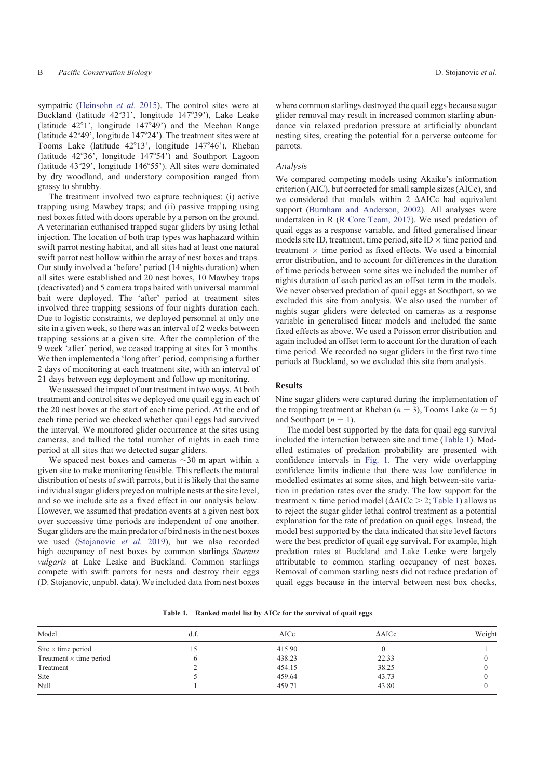sympatric ([Heinsohn](#page-3-0) *et al.* 2015). The control sites were at Buckland (latitude 42°31', longitude 147°39'), Lake Leake (latitude  $42^{\circ}1'$ , longitude  $147^{\circ}49'$ ) and the Meehan Range (latitude  $42^{\circ}49'$ , longitude  $147^{\circ}24'$ ). The treatment sites were at Tooms Lake (latitude 42°13', longitude 147°46'), Rheban (latitude  $42^{\circ}36'$ , longitude  $147^{\circ}54'$ ) and Southport Lagoon (latitude  $43^{\circ}29'$ , longitude  $146^{\circ}55'$ ). All sites were dominated by dry woodland, and understory composition ranged from grassy to shrubby.

The treatment involved two capture techniques: (i) active trapping using Mawbey traps; and (ii) passive trapping using nest boxes fitted with doors operable by a person on the ground. A veterinarian euthanised trapped sugar gliders by using lethal injection. The location of both trap types was haphazard within swift parrot nesting habitat, and all sites had at least one natural swift parrot nest hollow within the array of nest boxes and traps. Our study involved a 'before' period (14 nights duration) when all sites were established and 20 nest boxes, 10 Mawbey traps (deactivated) and 5 camera traps baited with universal mammal bait were deployed. The 'after' period at treatment sites involved three trapping sessions of four nights duration each. Due to logistic constraints, we deployed personnel at only one site in a given week, so there was an interval of 2 weeks between trapping sessions at a given site. After the completion of the 9 week 'after' period, we ceased trapping at sites for 3 months. We then implemented a 'long after' period, comprising a further 2 days of monitoring at each treatment site, with an interval of 21 days between egg deployment and follow up monitoring.

We assessed the impact of our treatment in two ways. At both treatment and control sites we deployed one quail egg in each of the 20 nest boxes at the start of each time period. At the end of each time period we checked whether quail eggs had survived the interval. We monitored glider occurrence at the sites using cameras, and tallied the total number of nights in each time period at all sites that we detected sugar gliders.

We spaced nest boxes and cameras  $\sim$ 30 m apart within a given site to make monitoring feasible. This reflects the natural distribution of nests of swift parrots, but it is likely that the same individual sugar gliders preyed on multiple nests at the site level, and so we include site as a fixed effect in our analysis below. However, we assumed that predation events at a given nest box over successive time periods are independent of one another. Sugar gliders are the main predator of bird nests in the nest boxes we used [\(Stojanovic](#page-4-0) *et al.* 2019), but we also recorded high occupancy of nest boxes by common starlings *Sturnus vulgaris* at Lake Leake and Buckland. Common starlings compete with swift parrots for nests and destroy their eggs (D. Stojanovic, unpubl. data). We included data from nest boxes

where common starlings destroyed the quail eggs because sugar glider removal may result in increased common starling abundance via relaxed predation pressure at artificially abundant nesting sites, creating the potential for a perverse outcome for parrots.

## *Analysis*

We compared competing models using Akaike's information criterion (AIC), but corrected for small sample sizes (AICc), and we considered that models within  $2 \Delta AICc$  had equivalent support [\(Burnham and Anderson, 2002\)](#page-3-0). All analyses were undertaken in R ([R Core Team, 2017](#page-3-0)). We used predation of quail eggs as a response variable, and fitted generalised linear models site ID, treatment, time period, site ID  $\times$  time period and treatment  $\times$  time period as fixed effects. We used a binomial error distribution, and to account for differences in the duration of time periods between some sites we included the number of nights duration of each period as an offset term in the models. We never observed predation of quail eggs at Southport, so we excluded this site from analysis. We also used the number of nights sugar gliders were detected on cameras as a response variable in generalised linear models and included the same fixed effects as above. We used a Poisson error distribution and again included an offset term to account for the duration of each time period. We recorded no sugar gliders in the first two time periods at Buckland, so we excluded this site from analysis.

### **Results**

Nine sugar gliders were captured during the implementation of the trapping treatment at Rheban  $(n = 3)$ , Tooms Lake  $(n = 5)$ and Southport  $(n = 1)$ .

The model best supported by the data for quail egg survival included the interaction between site and time (Table 1). Modelled estimates of predation probability are presented with confidence intervals in [Fig. 1](#page-2-0). The very wide overlapping confidence limits indicate that there was low confidence in modelled estimates at some sites, and high between-site variation in predation rates over the study. The low support for the treatment  $\times$  time period model ( $\Delta AICc > 2$ ; Table 1) allows us to reject the sugar glider lethal control treatment as a potential explanation for the rate of predation on quail eggs. Instead, the model best supported by the data indicated that site level factors were the best predictor of quail egg survival. For example, high predation rates at Buckland and Lake Leake were largely attributable to common starling occupancy of nest boxes. Removal of common starling nests did not reduce predation of quail eggs because in the interval between nest box checks,

|  | Table 1. Ranked model list by AICc for the survival of quail eggs |  |  |  |  |  |
|--|-------------------------------------------------------------------|--|--|--|--|--|
|--|-------------------------------------------------------------------|--|--|--|--|--|

| Model                          | d.f. | AICc   | $\triangle$ AICc | Weight |
|--------------------------------|------|--------|------------------|--------|
| Site $\times$ time period      | 15   | 415.90 |                  |        |
| Treatment $\times$ time period |      | 438.23 | 22.33            |        |
| Treatment                      |      | 454.15 | 38.25            |        |
| Site                           |      | 459.64 | 43.73            |        |
| Null                           |      | 459.71 | 43.80            |        |
|                                |      |        |                  |        |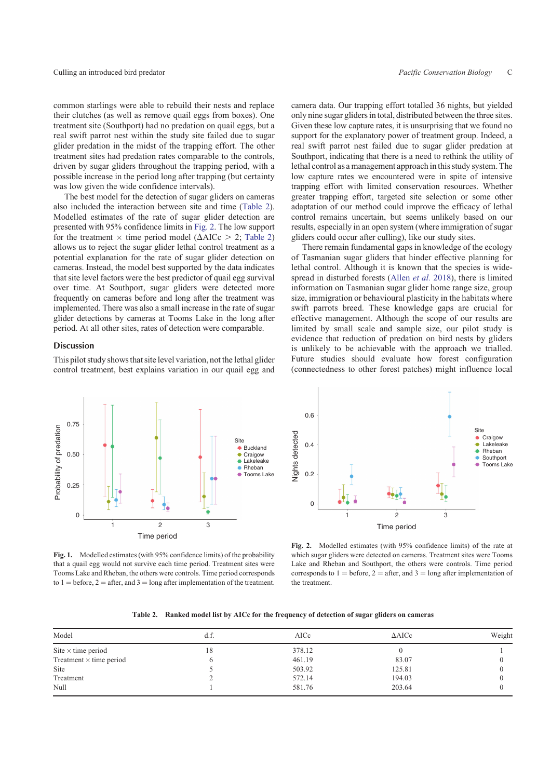<span id="page-2-0"></span>common starlings were able to rebuild their nests and replace their clutches (as well as remove quail eggs from boxes). One treatment site (Southport) had no predation on quail eggs, but a real swift parrot nest within the study site failed due to sugar glider predation in the midst of the trapping effort. The other treatment sites had predation rates comparable to the controls, driven by sugar gliders throughout the trapping period, with a possible increase in the period long after trapping (but certainty was low given the wide confidence intervals).

The best model for the detection of sugar gliders on cameras also included the interaction between site and time (Table 2). Modelled estimates of the rate of sugar glider detection are presented with 95% confidence limits in Fig. 2. The low support for the treatment  $\times$  time period model ( $\Delta AICc > 2$ ; Table 2) allows us to reject the sugar glider lethal control treatment as a potential explanation for the rate of sugar glider detection on cameras. Instead, the model best supported by the data indicates that site level factors were the best predictor of quail egg survival over time. At Southport, sugar gliders were detected more frequently on cameras before and long after the treatment was implemented. There was also a small increase in the rate of sugar glider detections by cameras at Tooms Lake in the long after period. At all other sites, rates of detection were comparable.

## **Discussion**

This pilot study shows that site level variation, not the lethal glider control treatment, best explains variation in our quail egg and camera data. Our trapping effort totalled 36 nights, but yielded only nine sugar gliders in total, distributed between the three sites. Given these low capture rates, it is unsurprising that we found no support for the explanatory power of treatment group. Indeed, a real swift parrot nest failed due to sugar glider predation at Southport, indicating that there is a need to rethink the utility of lethal control as a management approach in this study system. The low capture rates we encountered were in spite of intensive trapping effort with limited conservation resources. Whether greater trapping effort, targeted site selection or some other adaptation of our method could improve the efficacy of lethal control remains uncertain, but seems unlikely based on our results, especially in an open system (where immigration of sugar gliders could occur after culling), like our study sites.

There remain fundamental gaps in knowledge of the ecology of Tasmanian sugar gliders that hinder effective planning for lethal control. Although it is known that the species is widespread in disturbed forests [\(Allen](#page-3-0) *et al.* 2018), there is limited information on Tasmanian sugar glider home range size, group size, immigration or behavioural plasticity in the habitats where swift parrots breed. These knowledge gaps are crucial for effective management. Although the scope of our results are limited by small scale and sample size, our pilot study is evidence that reduction of predation on bird nests by gliders is unlikely to be achievable with the approach we trialled. Future studies should evaluate how forest configuration (connectedness to other forest patches) might influence local



**Fig. 1.** Modelled estimates (with 95% confidence limits) of the probability that a quail egg would not survive each time period. Treatment sites were Tooms Lake and Rheban, the others were controls. Time period corresponds to  $1 = \text{before}, 2 = \text{after}, \text{and } 3 = \text{long after implementation of the treatment.}$ 



**Fig. 2.** Modelled estimates (with 95% confidence limits) of the rate at which sugar gliders were detected on cameras. Treatment sites were Tooms Lake and Rheban and Southport, the others were controls. Time period corresponds to  $1 = \text{before}$ ,  $2 = \text{after}$ , and  $3 = \text{long}$  after implementation of the treatment.

|  | Table 2. Ranked model list by AICc for the frequency of detection of sugar gliders on cameras |  |  |  |
|--|-----------------------------------------------------------------------------------------------|--|--|--|
|--|-----------------------------------------------------------------------------------------------|--|--|--|

| Model                          | d.f. | AICc   | $\triangle$ AICc | Weight |
|--------------------------------|------|--------|------------------|--------|
| Site $\times$ time period      | 18   | 378.12 |                  |        |
| Treatment $\times$ time period |      | 461.19 | 83.07            |        |
| Site                           |      | 503.92 | 125.81           |        |
| Treatment                      |      | 572.14 | 194.03           |        |
| Null                           |      | 581.76 | 203.64           |        |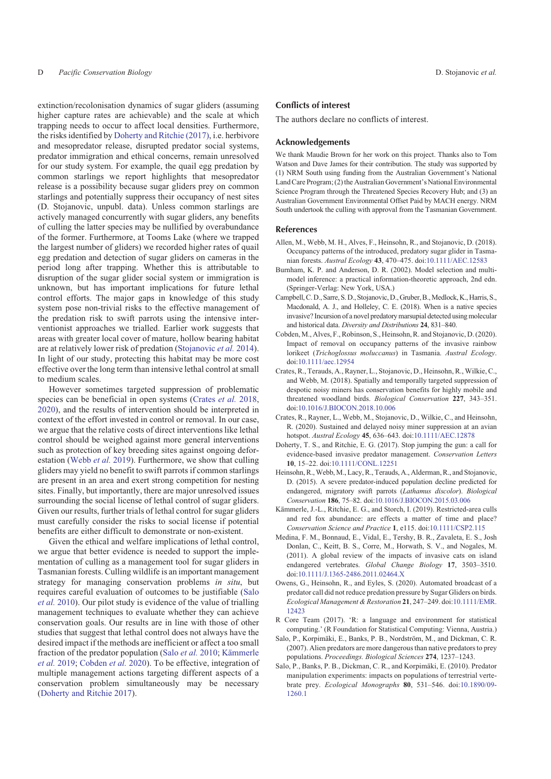<span id="page-3-0"></span>extinction/recolonisation dynamics of sugar gliders (assuming higher capture rates are achievable) and the scale at which trapping needs to occur to affect local densities. Furthermore, the risks identified by Doherty and Ritchie (2017), i.e. herbivore and mesopredator release, disrupted predator social systems, predator immigration and ethical concerns, remain unresolved for our study system. For example, the quail egg predation by common starlings we report highlights that mesopredator release is a possibility because sugar gliders prey on common starlings and potentially suppress their occupancy of nest sites (D. Stojanovic, unpubl. data). Unless common starlings are actively managed concurrently with sugar gliders, any benefits of culling the latter species may be nullified by overabundance of the former. Furthermore, at Tooms Lake (where we trapped the largest number of gliders) we recorded higher rates of quail egg predation and detection of sugar gliders on cameras in the period long after trapping. Whether this is attributable to disruption of the sugar glider social system or immigration is unknown, but has important implications for future lethal control efforts. The major gaps in knowledge of this study system pose non-trivial risks to the effective management of the predation risk to swift parrots using the intensive interventionist approaches we trialled. Earlier work suggests that areas with greater local cover of mature, hollow bearing habitat are at relatively lower risk of predation [\(Stojanovic](#page-4-0) *et al.* 2014). In light of our study, protecting this habitat may be more cost effective over the long term than intensive lethal control at small to medium scales.

However sometimes targeted suppression of problematic species can be beneficial in open systems (Crates *et al.* 2018, 2020), and the results of intervention should be interpreted in context of the effort invested in control or removal. In our case, we argue that the relative costs of direct interventions like lethal control should be weighed against more general interventions such as protection of key breeding sites against ongoing deforestation ([Webb](#page-4-0) *et al.* 2019). Furthermore, we show that culling gliders may yield no benefit to swift parrots if common starlings are present in an area and exert strong competition for nesting sites. Finally, but importantly, there are major unresolved issues surrounding the social license of lethal control of sugar gliders. Given our results, further trials of lethal control for sugar gliders must carefully consider the risks to social license if potential benefits are either difficult to demonstrate or non-existent.

Given the ethical and welfare implications of lethal control, we argue that better evidence is needed to support the implementation of culling as a management tool for sugar gliders in Tasmanian forests. Culling wildlife is an important management strategy for managing conservation problems *in situ*, but requires careful evaluation of outcomes to be justifiable (Salo *et al.* 2010). Our pilot study is evidence of the value of trialling management techniques to evaluate whether they can achieve conservation goals. Our results are in line with those of other studies that suggest that lethal control does not always have the desired impact if the methods are inefficient or affect a too small fraction of the predator population (Salo *et al.* 2010; Kämmerle *et al.* 2019; Cobden *et al.* 2020). To be effective, integration of multiple management actions targeting different aspects of a conservation problem simultaneously may be necessary (Doherty and Ritchie 2017).

## **Conflicts of interest**

The authors declare no conflicts of interest.

#### **Acknowledgements**

We thank Maudie Brown for her work on this project. Thanks also to Tom Watson and Dave James for their contribution. The study was supported by (1) NRM South using funding from the Australian Government's National Land Care Program; (2) the Australian Government's National Environmental Science Program through the Threatened Species Recovery Hub; and (3) an Australian Government Environmental Offset Paid by MACH energy. NRM South undertook the culling with approval from the Tasmanian Government.

#### **References**

- Allen, M., Webb, M. H., Alves, F., Heinsohn, R., and Stojanovic, D. (2018). Occupancy patterns of the introduced, predatory sugar glider in Tasmanian forests. *Austral Ecology* **43**, 470–475. doi:[10.1111/AEC.12583](http://dx.doi.org/10.1111/AEC.12583)
- Burnham, K. P. and Anderson, D. R. (2002). Model selection and multimodel inference: a practical information-theoretic approach, 2nd edn. (Springer-Verlag: New York, USA.)
- Campbell, C. D., Sarre, S. D., Stojanovic, D., Gruber, B., Medlock, K., Harris, S., Macdonald, A. J., and Holleley, C. E. (2018). When is a native species invasive? Incursion of a novel predatory marsupial detected using molecular and historical data. *Diversity and Distributions* **24**, 831–840.
- Cobden, M., Alves, F., Robinson, S., Heinsohn, R. and Stojanovic, D. (2020). Impact of removal on occupancy patterns of the invasive rainbow lorikeet (*Trichoglossus moluccanus*) in Tasmania. *Austral Ecology*. doi[:10.1111/aec.12954](http://dx.doi.org/10.1111/aec.12954)
- Crates, R., Terauds, A., Rayner, L., Stojanovic, D., Heinsohn, R., Wilkie, C., and Webb, M. (2018). Spatially and temporally targeted suppression of despotic noisy miners has conservation benefits for highly mobile and threatened woodland birds. *Biological Conservation* **227**, 343–351. doi[:10.1016/J.BIOCON.2018.10.006](http://dx.doi.org/10.1016/J.BIOCON.2018.10.006)
- Crates, R., Rayner, L., Webb, M., Stojanovic, D., Wilkie, C., and Heinsohn, R. (2020). Sustained and delayed noisy miner suppression at an avian hotspot. *Austral Ecology* **45**, 636–643. doi[:10.1111/AEC.12878](http://dx.doi.org/10.1111/AEC.12878)
- Doherty, T. S., and Ritchie, E. G. (2017). Stop jumping the gun: a call for evidence-based invasive predator management. *Conservation Letters* **10**, 15–22. doi[:10.1111/CONL.12251](http://dx.doi.org/10.1111/CONL.12251)
- Heinsohn, R., Webb, M., Lacy, R., Terauds, A., Alderman, R., and Stojanovic, D. (2015). A severe predator-induced population decline predicted for endangered, migratory swift parrots (*Lathamus discolor*). *Biological Conservation* **186**, 75–82. doi[:10.1016/J.BIOCON.2015.03.006](http://dx.doi.org/10.1016/J.BIOCON.2015.03.006)
- Kämmerle, J.-L., Ritchie, E. G., and Storch, I. (2019). Restricted-area culls and red fox abundance: are effects a matter of time and place? *Conservation Science and Practice* **1**, e115. doi[:10.1111/CSP2.115](http://dx.doi.org/10.1111/CSP2.115)
- Medina, F. M., Bonnaud, E., Vidal, E., Tershy, B. R., Zavaleta, E. S., Josh Donlan, C., Keitt, B. S., Corre, M., Horwath, S. V., and Nogales, M. (2011). A global review of the impacts of invasive cats on island endangered vertebrates. *Global Change Biology* **17**, 3503–3510. doi[:10.1111/J.1365-2486.2011.02464.X](http://dx.doi.org/10.1111/J.1365-2486.2011.02464.X)
- Owens, G., Heinsohn, R., and Eyles, S. (2020). Automated broadcast of a predator call did not reduce predation pressure by Sugar Gliders on birds. *Ecological Management & Restoration* **21**, 247–249. doi:[10.1111/EMR.](http://dx.doi.org/10.1111/EMR.12423) [12423](http://dx.doi.org/10.1111/EMR.12423)
- R Core Team (2017). 'R: a language and environment for statistical computing.' (R Foundation for Statistical Computing: Vienna, Austria.)
- Salo, P., Korpimäki, E., Banks, P. B., Nordström, M., and Dickman, C. R. (2007). Alien predators are more dangerous than native predators to prey populations. *Proceedings. Biological Sciences* **274**, 1237–1243.
- Salo, P., Banks, P. B., Dickman, C. R., and Korpimäki, E. (2010). Predator manipulation experiments: impacts on populations of terrestrial vertebrate prey. *Ecological Monographs* **80**, 531–546. doi:[10.1890/09-](http://dx.doi.org/10.1890/09-1260.1) [1260.1](http://dx.doi.org/10.1890/09-1260.1)